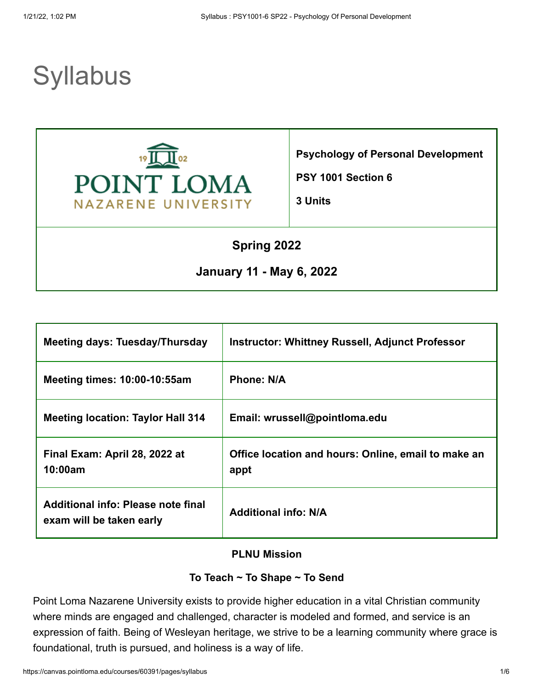# **Syllabus**



**Psychology of Personal Development**

**PSY 1001 Section 6**

**3 Units**

## **Spring 2022**

## **January 11 - May 6, 2022**

| Meeting days: Tuesday/Thursday                                 | <b>Instructor: Whittney Russell, Adjunct Professor</b>      |
|----------------------------------------------------------------|-------------------------------------------------------------|
| <b>Meeting times: 10:00-10:55am</b>                            | <b>Phone: N/A</b>                                           |
| <b>Meeting location: Taylor Hall 314</b>                       | Email: wrussell@pointloma.edu                               |
| Final Exam: April 28, 2022 at<br>10:00am                       | Office location and hours: Online, email to make an<br>appt |
| Additional info: Please note final<br>exam will be taken early | <b>Additional info: N/A</b>                                 |

#### **PLNU Mission**

#### **To Teach ~ To Shape ~ To Send**

Point Loma Nazarene University exists to provide higher education in a vital Christian community where minds are engaged and challenged, character is modeled and formed, and service is an expression of faith. Being of Wesleyan heritage, we strive to be a learning community where grace is foundational, truth is pursued, and holiness is a way of life.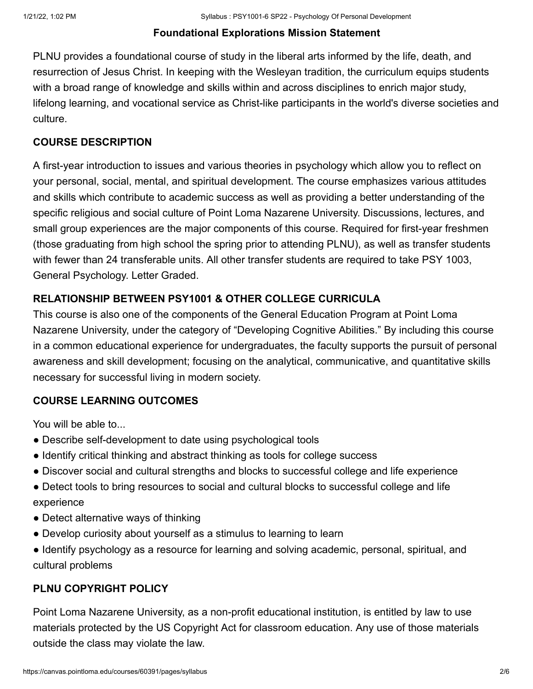#### **Foundational Explorations Mission Statement**

PLNU provides a foundational course of study in the liberal arts informed by the life, death, and resurrection of Jesus Christ. In keeping with the Wesleyan tradition, the curriculum equips students with a broad range of knowledge and skills within and across disciplines to enrich major study, lifelong learning, and vocational service as Christ-like participants in the world's diverse societies and culture.

#### **COURSE DESCRIPTION**

A first-year introduction to issues and various theories in psychology which allow you to reflect on your personal, social, mental, and spiritual development. The course emphasizes various attitudes and skills which contribute to academic success as well as providing a better understanding of the specific religious and social culture of Point Loma Nazarene University. Discussions, lectures, and small group experiences are the major components of this course. Required for first-year freshmen (those graduating from high school the spring prior to attending PLNU), as well as transfer students with fewer than 24 transferable units. All other transfer students are required to take PSY 1003, General Psychology. Letter Graded.

## **RELATIONSHIP BETWEEN PSY1001 & OTHER COLLEGE CURRICULA**

This course is also one of the components of the General Education Program at Point Loma Nazarene University, under the category of "Developing Cognitive Abilities." By including this course in a common educational experience for undergraduates, the faculty supports the pursuit of personal awareness and skill development; focusing on the analytical, communicative, and quantitative skills necessary for successful living in modern society.

## **COURSE LEARNING OUTCOMES**

You will be able to...

- Describe self-development to date using psychological tools
- Identify critical thinking and abstract thinking as tools for college success
- Discover social and cultural strengths and blocks to successful college and life experience
- Detect tools to bring resources to social and cultural blocks to successful college and life experience
- Detect alternative ways of thinking
- Develop curiosity about yourself as a stimulus to learning to learn
- Identify psychology as a resource for learning and solving academic, personal, spiritual, and cultural problems

## **PLNU COPYRIGHT POLICY**

Point Loma Nazarene University, as a non-profit educational institution, is entitled by law to use materials protected by the US Copyright Act for classroom education. Any use of those materials outside the class may violate the law.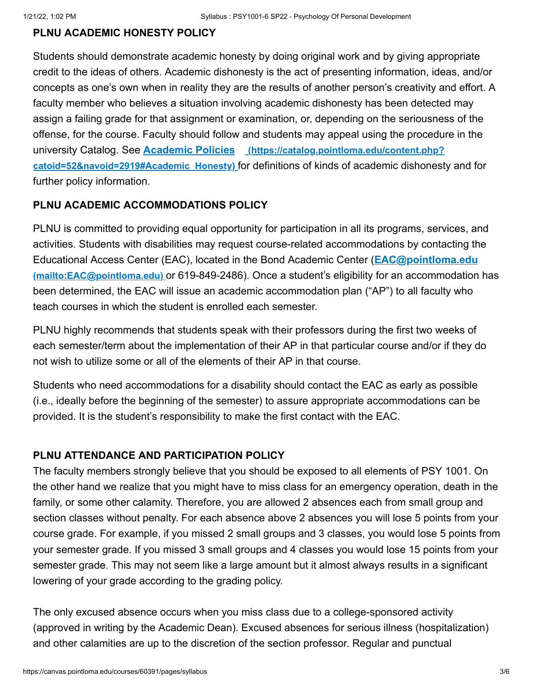#### **PLNU ACADEMIC HONESTY POLICY**

Students should demonstrate academic honesty by doing original work and by giving appropriate credit to the ideas of others. Academic dishonesty is the act of presenting information, ideas, and/or concepts as one's own when in reality they are the results of another person's creativity and effort. A faculty member who believes a situation involving academic dishonesty has been detected may assign a failing grade for that assignment or examination, or, depending on the seriousness of the offense, for the course. Faculty should follow and students may appeal using the procedure in the university Catalog. See **Academic Policies (https://catalog.pointloma.edu/content.php? catoid=52&navoid=2919#Academic\_Honesty)** [for definitions of kinds of academic dishonest](https://catalog.pointloma.edu/content.php?catoid=52&navoid=2919#Academic_Honesty)y and for further policy information.

#### **PLNU ACADEMIC ACCOMMODATIONS POLICY**

PLNU is committed to providing equal opportunity for participation in all its programs, services, and activities. Students with disabilities may request course-related accommodations by contacting the [Educational Access Center \(EAC\), located in the Bond Academic Center \(](mailto:EAC@pointloma.edu)**EAC@pointloma.edu (mailto:EAC@pointloma.edu)** or 619-849-2486). Once a student's eligibility for an accommodation has been determined, the EAC will issue an academic accommodation plan ("AP") to all faculty who teach courses in which the student is enrolled each semester.

PLNU highly recommends that students speak with their professors during the first two weeks of each semester/term about the implementation of their AP in that particular course and/or if they do not wish to utilize some or all of the elements of their AP in that course.

Students who need accommodations for a disability should contact the EAC as early as possible (i.e., ideally before the beginning of the semester) to assure appropriate accommodations can be provided. It is the student's responsibility to make the first contact with the EAC.

#### **PLNU ATTENDANCE AND PARTICIPATION POLICY**

The faculty members strongly believe that you should be exposed to all elements of PSY 1001. On the other hand we realize that you might have to miss class for an emergency operation, death in the family, or some other calamity. Therefore, you are allowed 2 absences each from small group and section classes without penalty. For each absence above 2 absences you will lose 5 points from your course grade. For example, if you missed 2 small groups and 3 classes, you would lose 5 points from your semester grade. If you missed 3 small groups and 4 classes you would lose 15 points from your semester grade. This may not seem like a large amount but it almost always results in a significant lowering of your grade according to the grading policy.

The only excused absence occurs when you miss class due to a college-sponsored activity (approved in writing by the Academic Dean). Excused absences for serious illness (hospitalization) and other calamities are up to the discretion of the section professor. Regular and punctual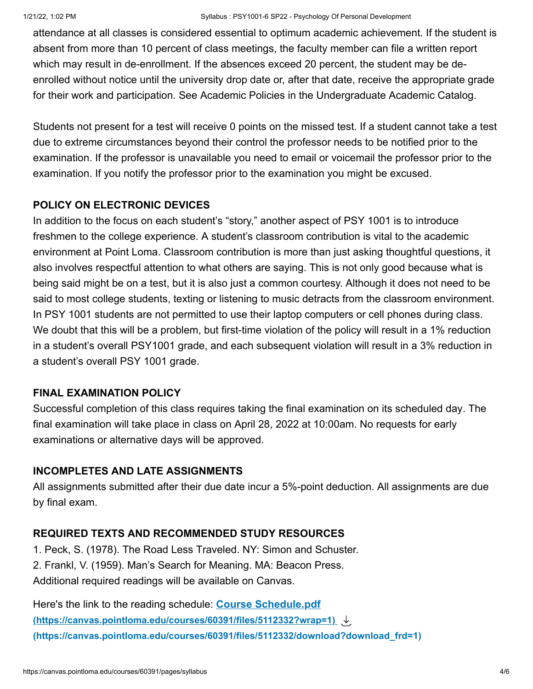attendance at all classes is considered essential to optimum academic achievement. If the student is absent from more than 10 percent of class meetings, the faculty member can file a written report which may result in de-enrollment. If the absences exceed 20 percent, the student may be deenrolled without notice until the university drop date or, after that date, receive the appropriate grade for their work and participation. See Academic Policies in the Undergraduate Academic Catalog.

Students not present for a test will receive 0 points on the missed test. If a student cannot take a test due to extreme circumstances beyond their control the professor needs to be notified prior to the examination. If the professor is unavailable you need to email or voicemail the professor prior to the examination. If you notify the professor prior to the examination you might be excused.

## **POLICY ON ELECTRONIC DEVICES**

In addition to the focus on each student's "story," another aspect of PSY 1001 is to introduce freshmen to the college experience. A student's classroom contribution is vital to the academic environment at Point Loma. Classroom contribution is more than just asking thoughtful questions, it also involves respectful attention to what others are saying. This is not only good because what is being said might be on a test, but it is also just a common courtesy. Although it does not need to be said to most college students, texting or listening to music detracts from the classroom environment. In PSY 1001 students are not permitted to use their laptop computers or cell phones during class. We doubt that this will be a problem, but first-time violation of the policy will result in a 1% reduction in a student's overall PSY1001 grade, and each subsequent violation will result in a 3% reduction in a student's overall PSY 1001 grade.

## **FINAL EXAMINATION POLICY**

Successful completion of this class requires taking the final examination on its scheduled day. The final examination will take place in class on April 28, 2022 at 10:00am. No requests for early examinations or alternative days will be approved.

## **INCOMPLETES AND LATE ASSIGNMENTS**

All assignments submitted after their due date incur a 5%-point deduction. All assignments are due by final exam.

## **REQUIRED TEXTS AND RECOMMENDED STUDY RESOURCES**

1. Peck, S. (1978). The Road Less Traveled. NY: Simon and Schuster.

2. Frankl, V. (1959). Man's Search for Meaning. MA: Beacon Press.

Additional required readings will be available on Canvas.

Here's the link to the reading schedule: **Course Schedule.pdf [\(https://canvas.pointloma.edu/courses/60391/files/5112332?wrap=1\)](https://canvas.pointloma.edu/courses/60391/files/5112332?wrap=1) [\(https://canvas.pointloma.edu/courses/60391/files/5112332/download?download\\_frd=1\)](https://canvas.pointloma.edu/courses/60391/files/5112332/download?download_frd=1)**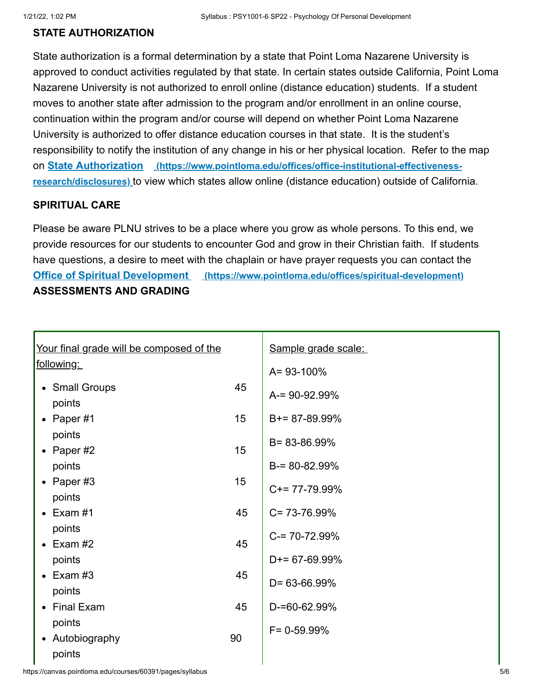#### **STATE AUTHORIZATION**

State authorization is a formal determination by a state that Point Loma Nazarene University is approved to conduct activities regulated by that state. In certain states outside California, Point Loma Nazarene University is not authorized to enroll online (distance education) students. If a student moves to another state after admission to the program and/or enrollment in an online course, continuation within the program and/or course will depend on whether Point Loma Nazarene University is authorized to offer distance education courses in that state. It is the student's responsibility to notify the institution of any change in his or her physical location. Refer to the map on **State Authorization (https://www.pointloma.edu/offices/office-institutional-effectivenessresearch/disclosures)** [to view which states allow online \(distance education\) outside of Californ](https://www.pointloma.edu/offices/office-institutional-effectiveness-research/disclosures)ia.

#### **SPIRITUAL CARE**

Please be aware PLNU strives to be a place where you grow as whole persons. To this end, we provide resources for our students to encounter God and grow in their Christian faith. If students have questions, a desire to meet with the chaplain or have prayer requests you can contact the **Office of Spiritual Development [\(https://www.pointloma.edu/offices/spiritual-development\)](https://www.pointloma.edu/offices/spiritual-development) ASSESSMENTS AND GRADING**

| Your final grade will be composed of the |    | Sample grade scale: |
|------------------------------------------|----|---------------------|
| <u>following:</u>                        |    | A= 93-100%          |
| • Small Groups<br>points                 | 45 | $A = 90 - 92.99%$   |
| Paper #1<br>$\bullet$                    | 15 | $B+= 87-89.99\%$    |
| points<br>• Paper $#2$                   | 15 | B= 83-86.99%        |
| points                                   |    | $B = 80 - 82.99\%$  |
| • Paper $#3$<br>points                   | 15 | $C+= 77-79.99\%$    |
| Exam #1<br>$\bullet$                     | 45 | $C = 73 - 76.99\%$  |
| points<br>$\bullet$ Exam #2              | 45 | $C = 70 - 72.99\%$  |
| points                                   |    | $D+= 67-69.99\%$    |
| Exam #3<br>$\bullet$<br>points           | 45 | $D = 63 - 66.99\%$  |
| <b>Final Exam</b><br>$\bullet$           | 45 | D-=60-62.99%        |
| points<br>• Autobiography<br>points      | 90 | $F = 0 - 59.99%$    |

https://canvas.pointloma.edu/courses/60391/pages/syllabus 5/6